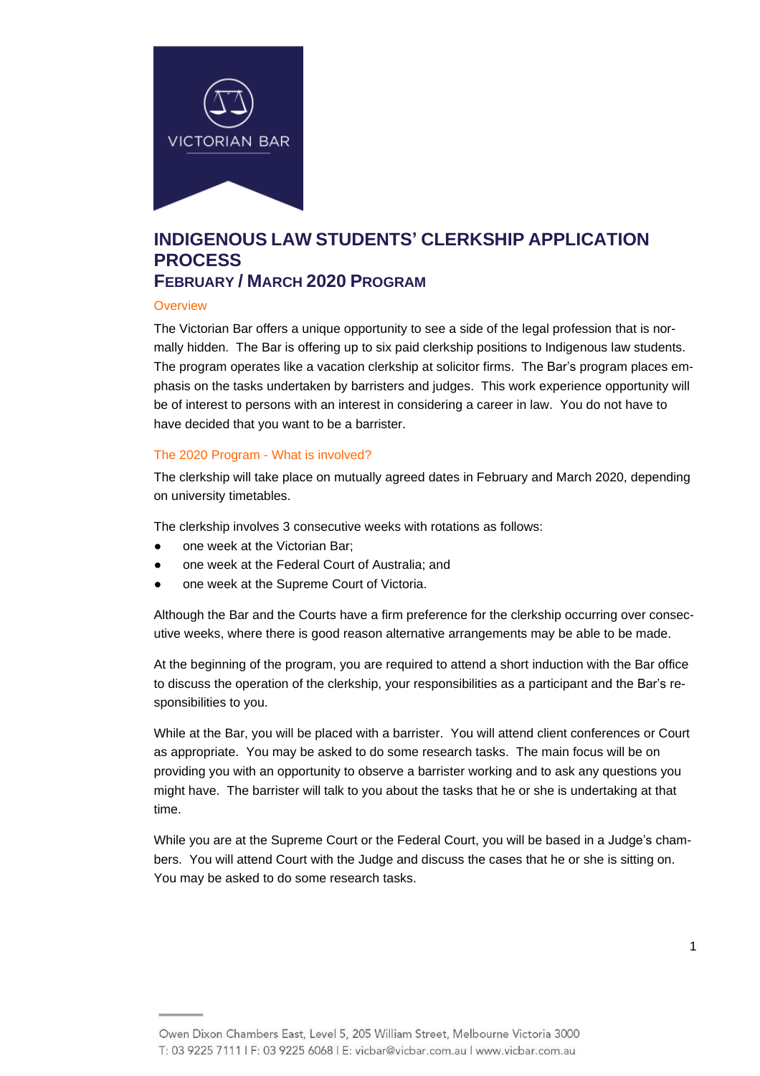

## **INDIGENOUS LAW STUDENTS' CLERKSHIP APPLICATION PROCESS FEBRUARY / MARCH 2020 PROGRAM**

#### **Overview**

The Victorian Bar offers a unique opportunity to see a side of the legal profession that is normally hidden. The Bar is offering up to six paid clerkship positions to Indigenous law students. The program operates like a vacation clerkship at solicitor firms. The Bar's program places emphasis on the tasks undertaken by barristers and judges. This work experience opportunity will be of interest to persons with an interest in considering a career in law. You do not have to have decided that you want to be a barrister.

#### The 2020 Program - What is involved?

The clerkship will take place on mutually agreed dates in February and March 2020, depending on university timetables.

The clerkship involves 3 consecutive weeks with rotations as follows:

- one week at the Victorian Bar:
- one week at the Federal Court of Australia; and
- one week at the Supreme Court of Victoria.

Although the Bar and the Courts have a firm preference for the clerkship occurring over consecutive weeks, where there is good reason alternative arrangements may be able to be made.

At the beginning of the program, you are required to attend a short induction with the Bar office to discuss the operation of the clerkship, your responsibilities as a participant and the Bar's responsibilities to you.

While at the Bar, you will be placed with a barrister. You will attend client conferences or Court as appropriate. You may be asked to do some research tasks. The main focus will be on providing you with an opportunity to observe a barrister working and to ask any questions you might have. The barrister will talk to you about the tasks that he or she is undertaking at that time.

While you are at the Supreme Court or the Federal Court, you will be based in a Judge's chambers. You will attend Court with the Judge and discuss the cases that he or she is sitting on. You may be asked to do some research tasks.

Owen Dixon Chambers East, Level 5, 205 William Street, Melbourne Victoria 3000 T: 03 9225 7111 | F: 03 9225 6068 | E: vicbar@vicbar.com.au | www.vicbar.com.au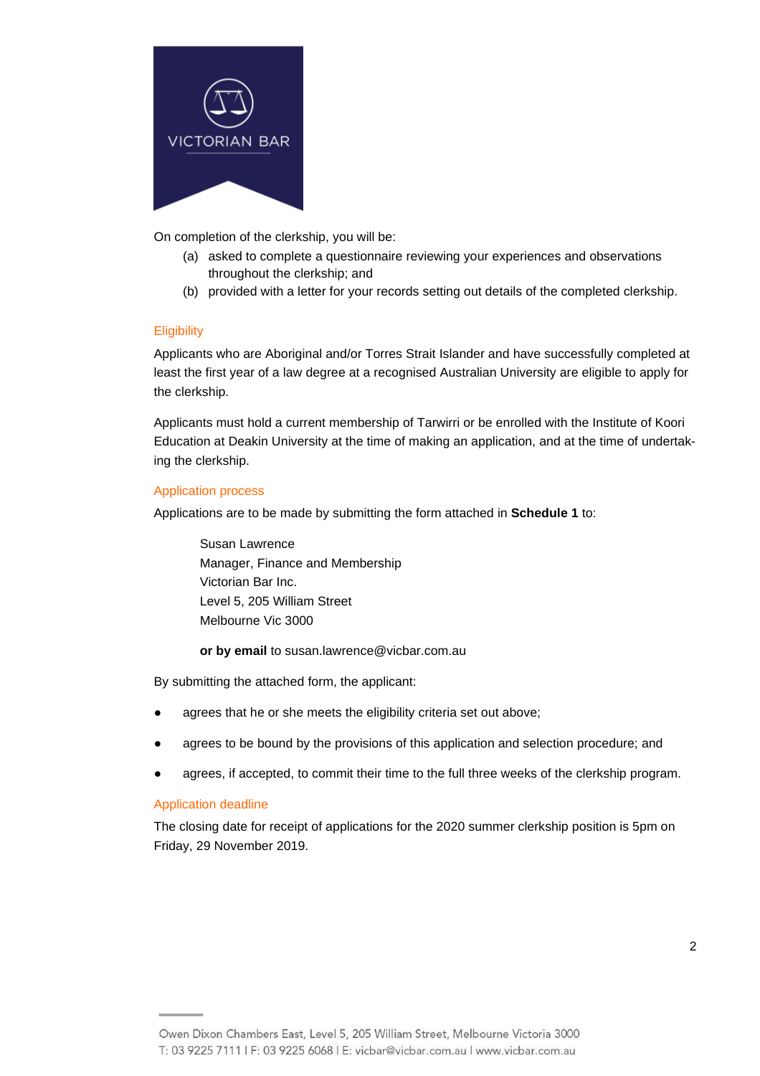

On completion of the clerkship, you will be:

- (a) asked to complete a questionnaire reviewing your experiences and observations throughout the clerkship; and
- (b) provided with a letter for your records setting out details of the completed clerkship.

## **Eligibility**

Applicants who are Aboriginal and/or Torres Strait Islander and have successfully completed at least the first year of a law degree at a recognised Australian University are eligible to apply for the clerkship.

Applicants must hold a current membership of Tarwirri or be enrolled with the Institute of Koori Education at Deakin University at the time of making an application, and at the time of undertaking the clerkship.

## Application process

Applications are to be made by submitting the form attached in **Schedule 1** to:

Susan Lawrence Manager, Finance and Membership Victorian Bar Inc. Level 5, 205 William Street Melbourne Vic 3000

**or by email** to susan.lawrence@vicbar.com.au

By submitting the attached form, the applicant:

- agrees that he or she meets the eligibility criteria set out above;
- agrees to be bound by the provisions of this application and selection procedure; and
- agrees, if accepted, to commit their time to the full three weeks of the clerkship program.

#### Application deadline

The closing date for receipt of applications for the 2020 summer clerkship position is 5pm on Friday, 29 November 2019.

Owen Dixon Chambers East, Level 5, 205 William Street, Melbourne Victoria 3000 T: 03 9225 7111 | F: 03 9225 6068 | E: vicbar@vicbar.com.au | www.vicbar.com.au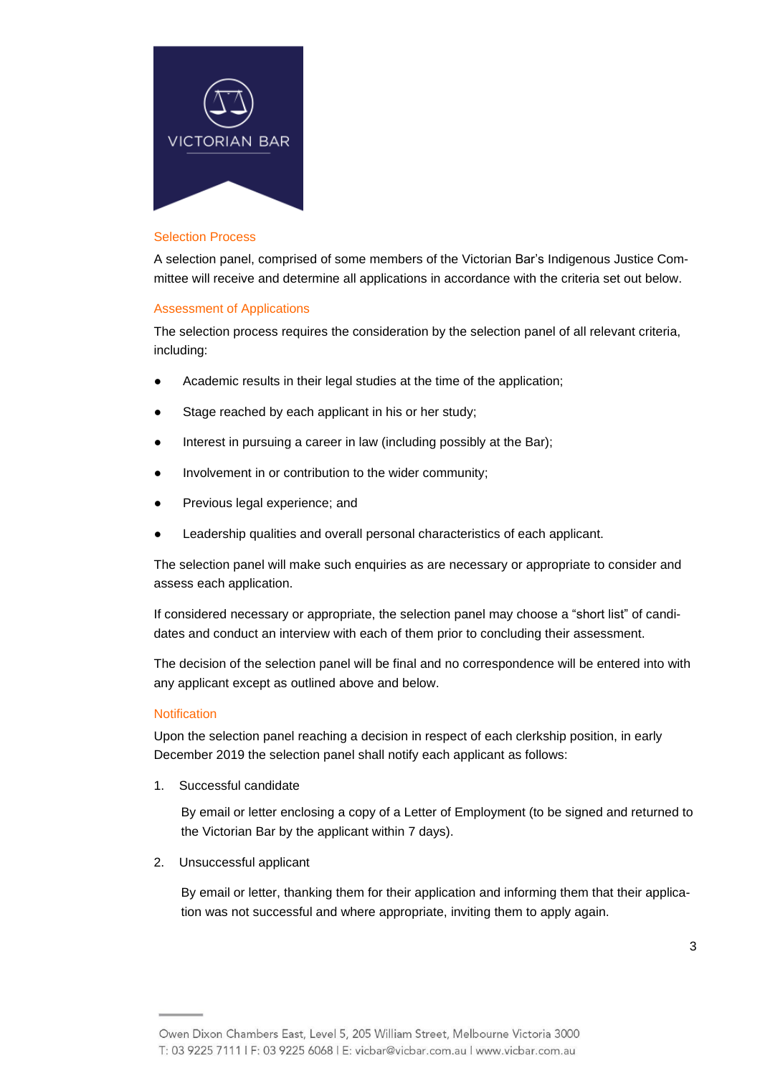

#### Selection Process

A selection panel, comprised of some members of the Victorian Bar's Indigenous Justice Committee will receive and determine all applications in accordance with the criteria set out below.

#### Assessment of Applications

The selection process requires the consideration by the selection panel of all relevant criteria, including:

- Academic results in their legal studies at the time of the application;
- Stage reached by each applicant in his or her study;
- Interest in pursuing a career in law (including possibly at the Bar);
- Involvement in or contribution to the wider community;
- Previous legal experience; and
- Leadership qualities and overall personal characteristics of each applicant.

The selection panel will make such enquiries as are necessary or appropriate to consider and assess each application.

If considered necessary or appropriate, the selection panel may choose a "short list" of candidates and conduct an interview with each of them prior to concluding their assessment.

The decision of the selection panel will be final and no correspondence will be entered into with any applicant except as outlined above and below.

#### **Notification**

Upon the selection panel reaching a decision in respect of each clerkship position, in early December 2019 the selection panel shall notify each applicant as follows:

1. Successful candidate

By email or letter enclosing a copy of a Letter of Employment (to be signed and returned to the Victorian Bar by the applicant within 7 days).

2. Unsuccessful applicant

By email or letter, thanking them for their application and informing them that their application was not successful and where appropriate, inviting them to apply again.

Owen Dixon Chambers East, Level 5, 205 William Street, Melbourne Victoria 3000 T: 03 9225 7111 | F: 03 9225 6068 | E: vicbar@vicbar.com.au | www.vicbar.com.au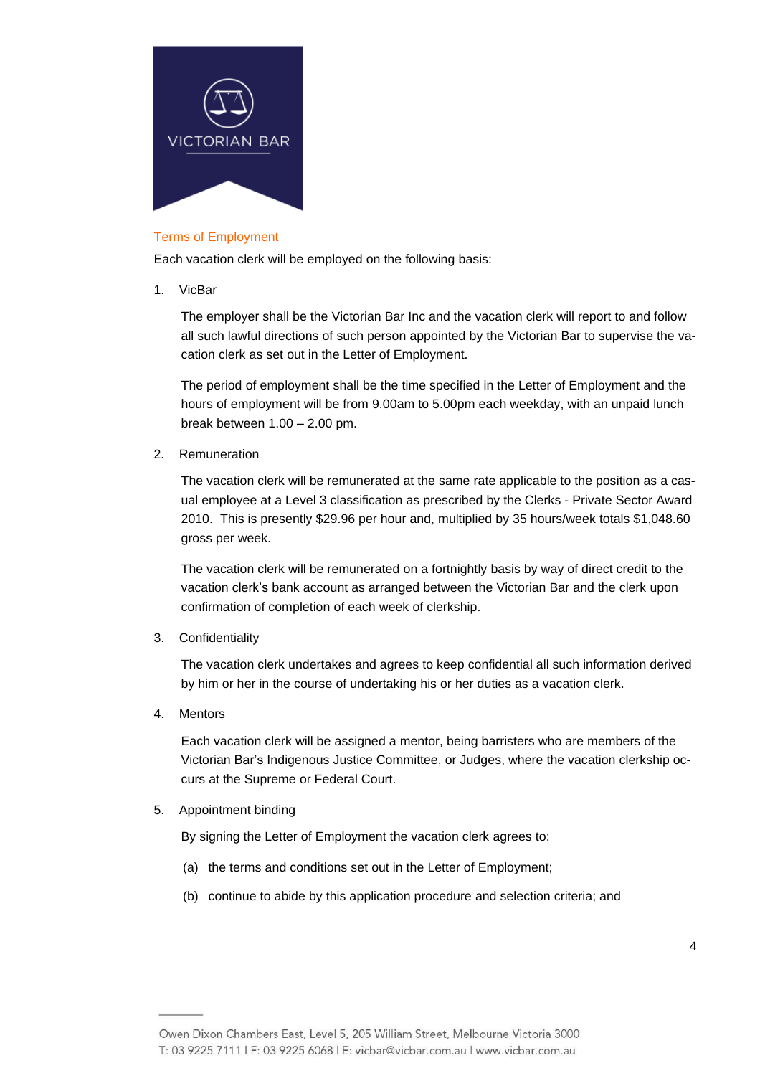

## Terms of Employment

Each vacation clerk will be employed on the following basis:

1. VicBar

The employer shall be the Victorian Bar Inc and the vacation clerk will report to and follow all such lawful directions of such person appointed by the Victorian Bar to supervise the vacation clerk as set out in the Letter of Employment.

The period of employment shall be the time specified in the Letter of Employment and the hours of employment will be from 9.00am to 5.00pm each weekday, with an unpaid lunch break between 1.00 – 2.00 pm.

2. Remuneration

The vacation clerk will be remunerated at the same rate applicable to the position as a casual employee at a Level 3 classification as prescribed by the Clerks - Private Sector Award 2010. This is presently \$29.96 per hour and, multiplied by 35 hours/week totals \$1,048.60 gross per week.

The vacation clerk will be remunerated on a fortnightly basis by way of direct credit to the vacation clerk's bank account as arranged between the Victorian Bar and the clerk upon confirmation of completion of each week of clerkship.

3. Confidentiality

The vacation clerk undertakes and agrees to keep confidential all such information derived by him or her in the course of undertaking his or her duties as a vacation clerk.

4. Mentors

Each vacation clerk will be assigned a mentor, being barristers who are members of the Victorian Bar's Indigenous Justice Committee, or Judges, where the vacation clerkship occurs at the Supreme or Federal Court.

5. Appointment binding

By signing the Letter of Employment the vacation clerk agrees to:

- (a) the terms and conditions set out in the Letter of Employment;
- (b) continue to abide by this application procedure and selection criteria; and

Owen Dixon Chambers East, Level 5, 205 William Street, Melbourne Victoria 3000 T: 03 9225 7111 | F: 03 9225 6068 | E: vicbar@vicbar.com.au | www.vicbar.com.au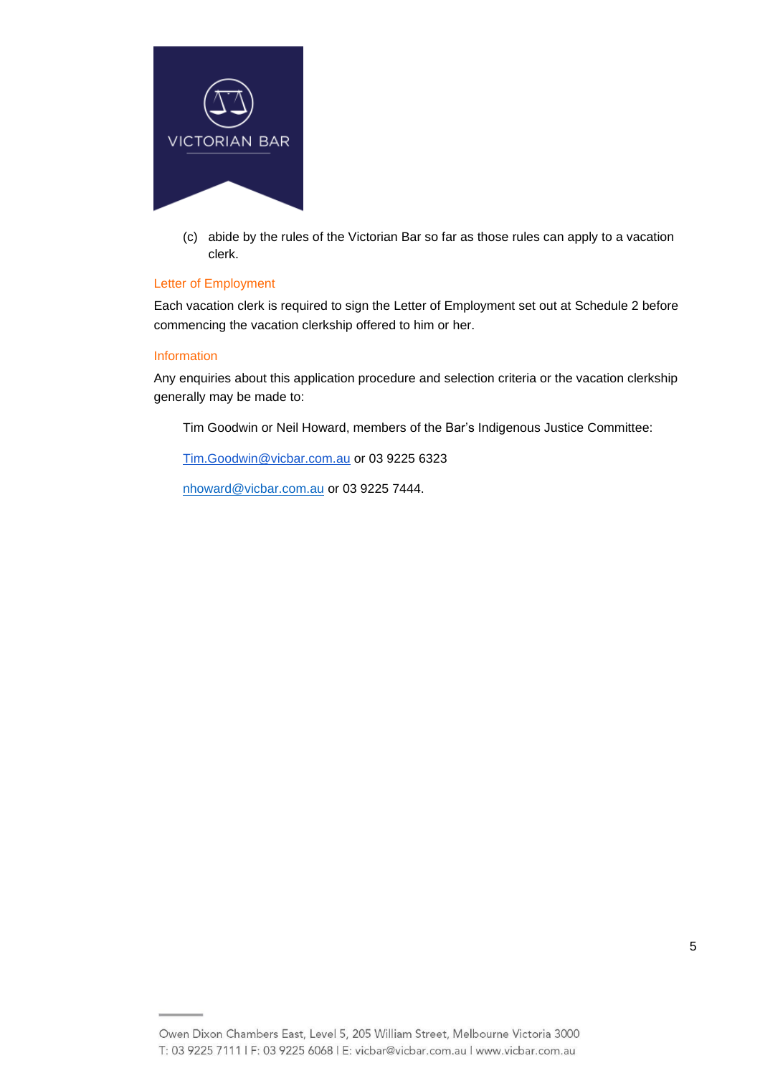

(c) abide by the rules of the Victorian Bar so far as those rules can apply to a vacation clerk.

#### Letter of Employment

Each vacation clerk is required to sign the Letter of Employment set out at Schedule 2 before commencing the vacation clerkship offered to him or her.

#### Information

Any enquiries about this application procedure and selection criteria or the vacation clerkship generally may be made to:

Tim Goodwin or Neil Howard, members of the Bar's Indigenous Justice Committee:

[Tim.Goodwin@vicbar.com.au](mailto:Tim.Goodwin@vicbar.com.au) or 03 9225 6323

[nhoward@vicbar.com.au](mailto:nhoward@vicbar.com.au) or 03 9225 7444.

Owen Dixon Chambers East, Level 5, 205 William Street, Melbourne Victoria 3000 T: 03 9225 7111 | F: 03 9225 6068 | E: vicbar@vicbar.com.au | www.vicbar.com.au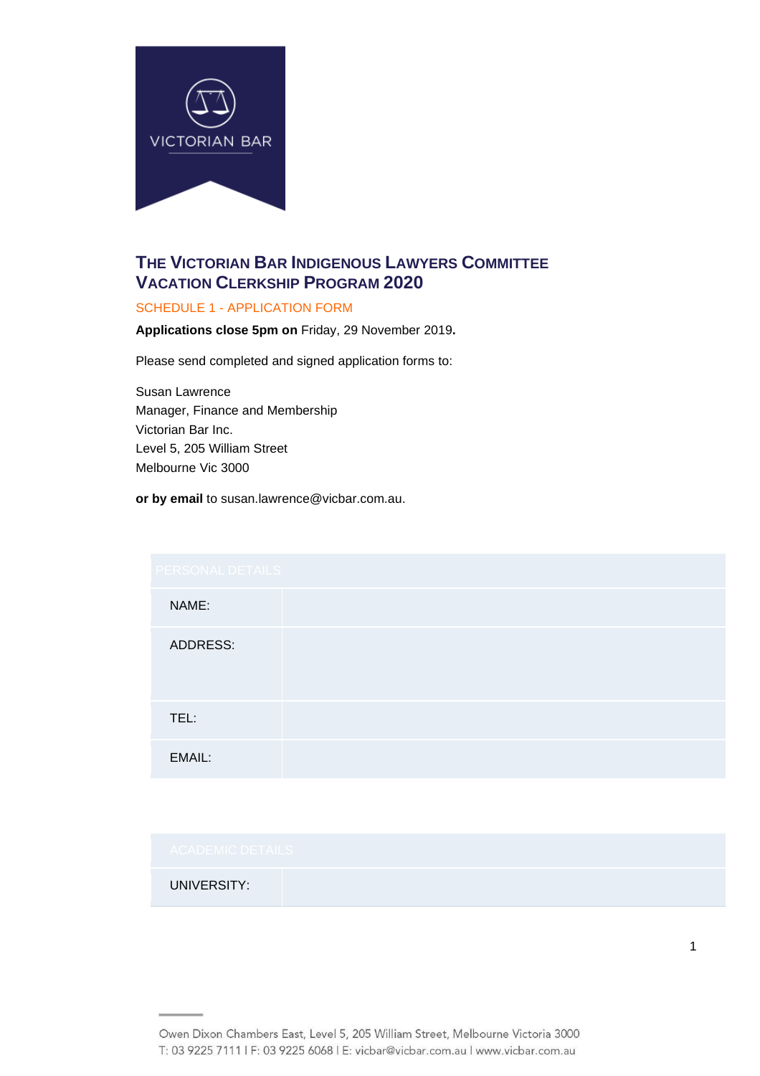

# **THE VICTORIAN BAR INDIGENOUS LAWYERS COMMITTEE VACATION CLERKSHIP PROGRAM 2020**

## SCHEDULE 1 - APPLICATION FORM

**Applications close 5pm on** Friday, 29 November 2019**.**

Please send completed and signed application forms to:

Susan Lawrence Manager, Finance and Membership Victorian Bar Inc. Level 5, 205 William Street Melbourne Vic 3000

**or by email** to susan.lawrence@vicbar.com.au.

| PERSONAL DETAILS |  |  |
|------------------|--|--|
| NAME:            |  |  |
| ADDRESS:         |  |  |
| TEL:             |  |  |
| EMAIL:           |  |  |

# UNIVERSITY:

1

Owen Dixon Chambers East, Level 5, 205 William Street, Melbourne Victoria 3000 T: 03 9225 7111 | F: 03 9225 6068 | E: vicbar@vicbar.com.au | www.vicbar.com.au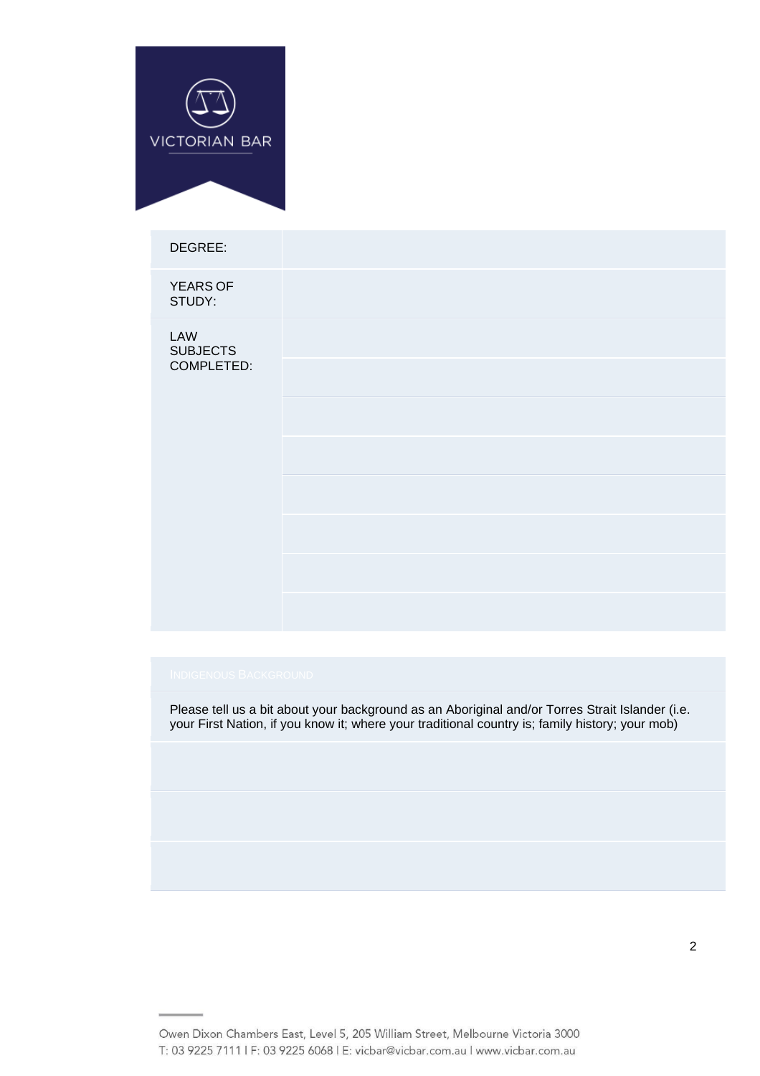

| DEGREE:                              |  |
|--------------------------------------|--|
| YEARS OF<br>STUDY:                   |  |
| LAW<br><b>SUBJECTS</b><br>COMPLETED: |  |
|                                      |  |
|                                      |  |
|                                      |  |
|                                      |  |
|                                      |  |
|                                      |  |

Please tell us a bit about your background as an Aboriginal and/or Torres Strait Islander (i.e. your First Nation, if you know it; where your traditional country is; family history; your mob)

Owen Dixon Chambers East, Level 5, 205 William Street, Melbourne Victoria 3000 T: 03 9225 7111 | F: 03 9225 6068 | E: vicbar@vicbar.com.au | www.vicbar.com.au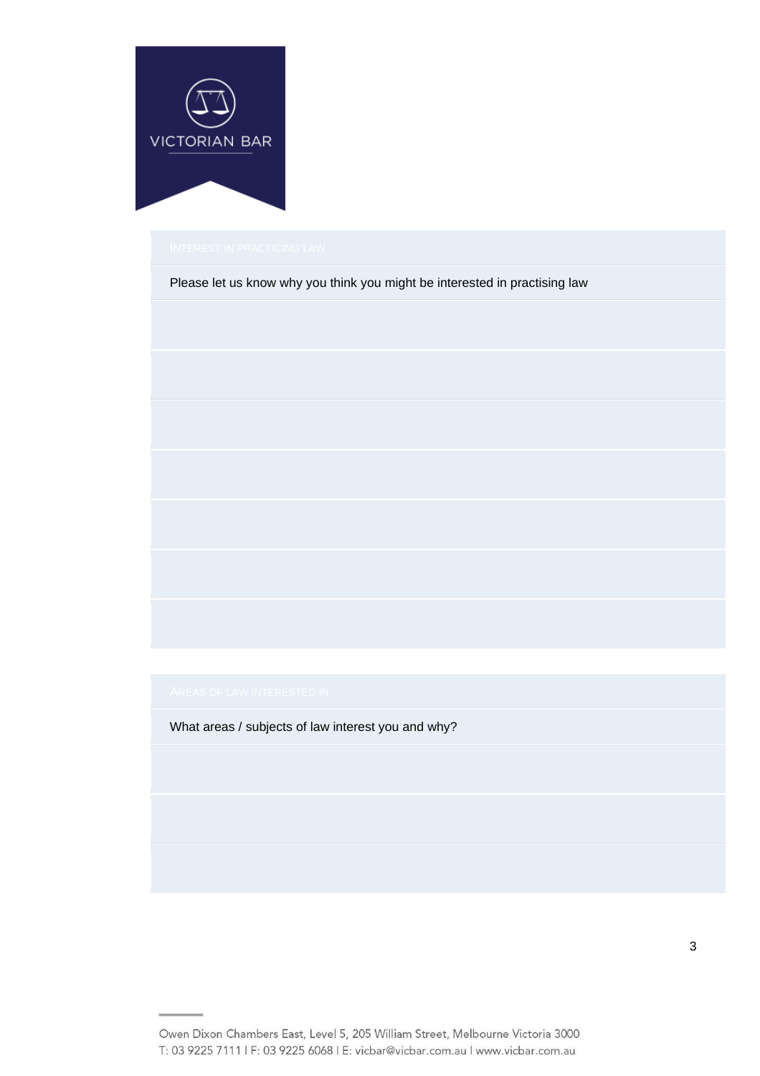

Please let us know why you think you might be interested in practising law

What areas / subjects of law interest you and why?

Owen Dixon Chambers East, Level 5, 205 William Street, Melbourne Victoria 3000 T: 03 9225 7111 | F: 03 9225 6068 | E: vicbar@vicbar.com.au | www.vicbar.com.au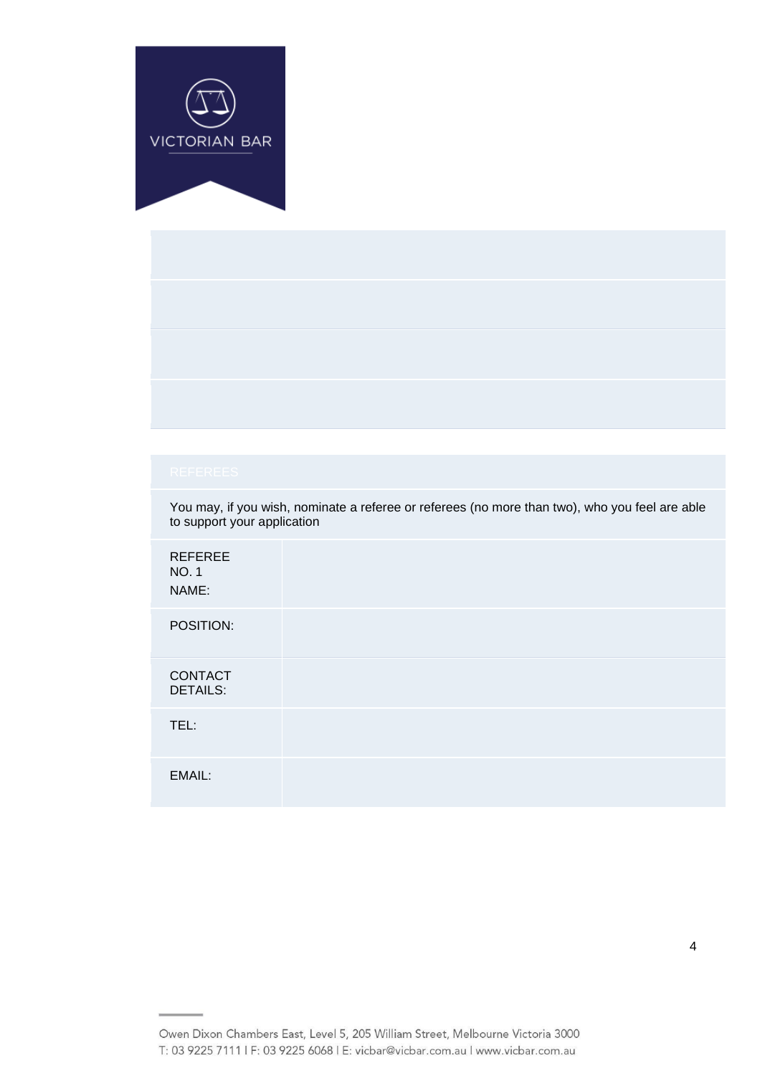

You may, if you wish, nominate a referee or referees (no more than two), who you feel are able to support your application

| <b>REFEREE</b><br><b>NO.1</b><br>NAME: |  |
|----------------------------------------|--|
| POSITION:                              |  |
| <b>CONTACT</b><br><b>DETAILS:</b>      |  |
| TEL:                                   |  |
| EMAIL:                                 |  |

Owen Dixon Chambers East, Level 5, 205 William Street, Melbourne Victoria 3000 T: 03 9225 7111 | F: 03 9225 6068 | E: vicbar@vicbar.com.au | www.vicbar.com.au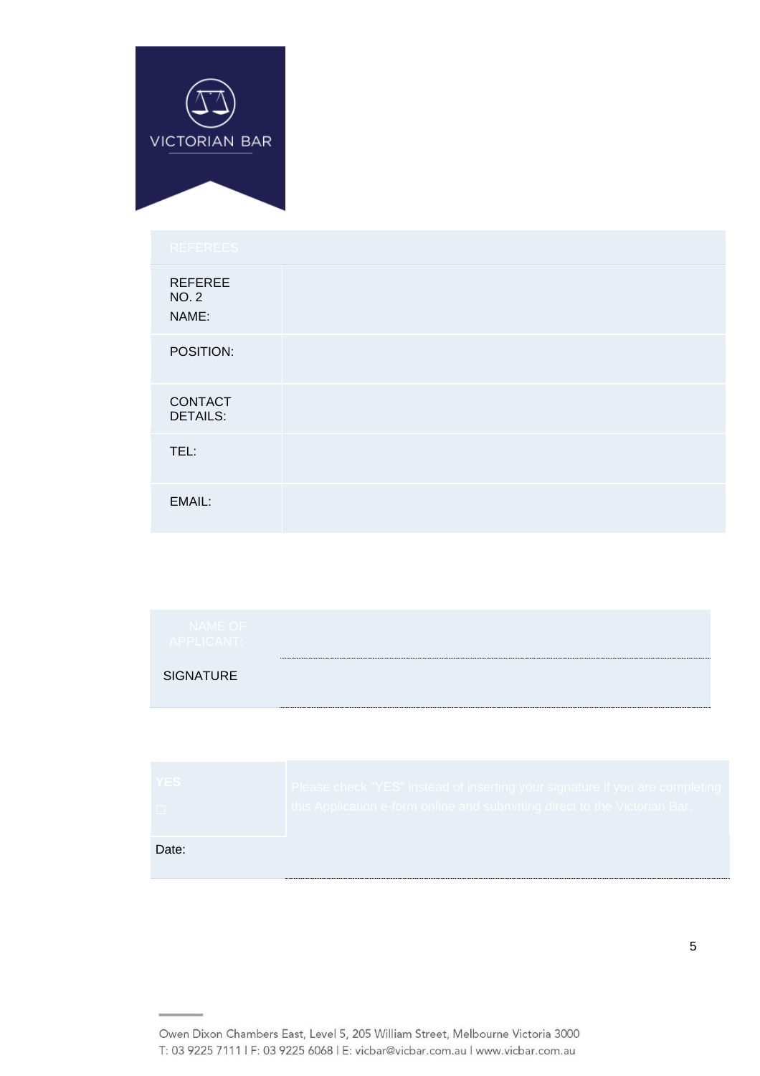

| <b>REFEREE</b><br><b>NO.2</b><br>NAME: |  |  |  |
|----------------------------------------|--|--|--|
| POSITION:                              |  |  |  |
| CONTACT<br><b>DETAILS:</b>             |  |  |  |
| TEL:                                   |  |  |  |
| EMAIL:                                 |  |  |  |

| <b>SIGNATURE</b> | <b>NAME OF</b><br>APPLICANT: |  |
|------------------|------------------------------|--|
|                  |                              |  |

| <b>YES</b> | Please check "YES" instead of inserting your signature if you are completing |
|------------|------------------------------------------------------------------------------|
| $\Box$     | this Application e-form online and submitting direct to the Victorian Bar.   |
| Date:      |                                                                              |

Owen Dixon Chambers East, Level 5, 205 William Street, Melbourne Victoria 3000 T: 03 9225 7111 | F: 03 9225 6068 | E: vicbar@vicbar.com.au | www.vicbar.com.au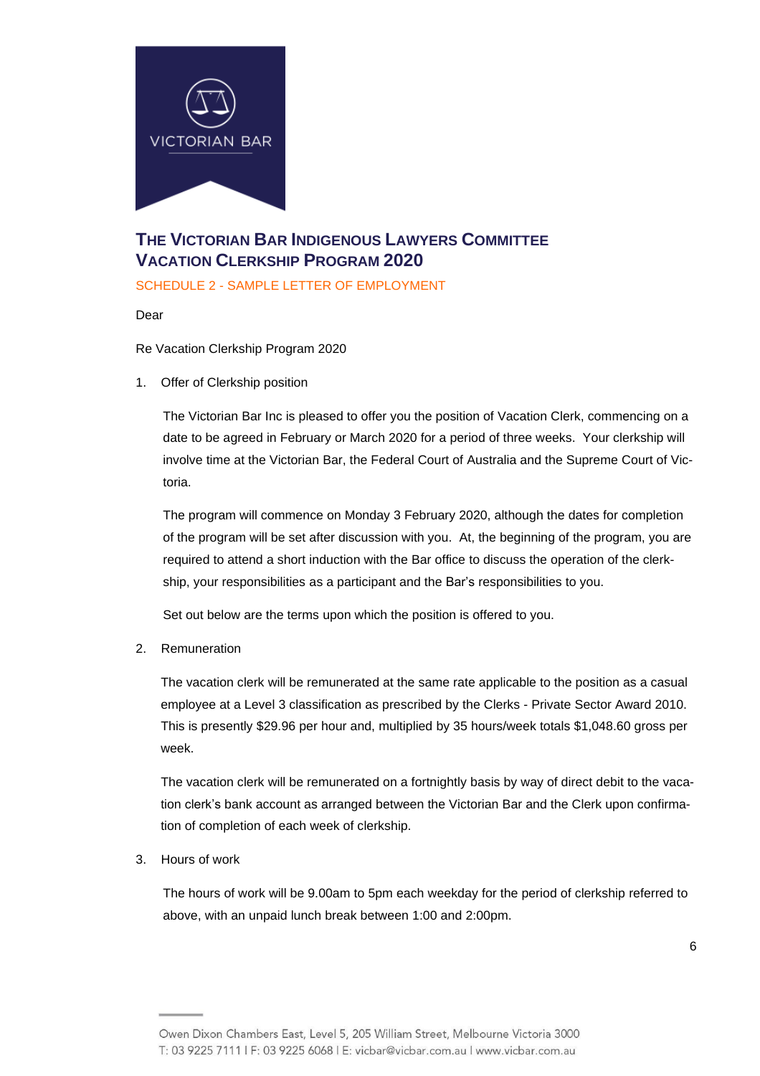

# **THE VICTORIAN BAR INDIGENOUS LAWYERS COMMITTEE VACATION CLERKSHIP PROGRAM 2020**

SCHEDULE 2 - SAMPLE LETTER OF EMPLOYMENT

Dear

Re Vacation Clerkship Program 2020

1. Offer of Clerkship position

The Victorian Bar Inc is pleased to offer you the position of Vacation Clerk, commencing on a date to be agreed in February or March 2020 for a period of three weeks. Your clerkship will involve time at the Victorian Bar, the Federal Court of Australia and the Supreme Court of Victoria.

The program will commence on Monday 3 February 2020, although the dates for completion of the program will be set after discussion with you. At, the beginning of the program, you are required to attend a short induction with the Bar office to discuss the operation of the clerkship, your responsibilities as a participant and the Bar's responsibilities to you.

Set out below are the terms upon which the position is offered to you.

2. Remuneration

The vacation clerk will be remunerated at the same rate applicable to the position as a casual employee at a Level 3 classification as prescribed by the Clerks - Private Sector Award 2010. This is presently \$29.96 per hour and, multiplied by 35 hours/week totals \$1,048.60 gross per week.

The vacation clerk will be remunerated on a fortnightly basis by way of direct debit to the vacation clerk's bank account as arranged between the Victorian Bar and the Clerk upon confirmation of completion of each week of clerkship.

3. Hours of work

The hours of work will be 9.00am to 5pm each weekday for the period of clerkship referred to above, with an unpaid lunch break between 1:00 and 2:00pm.

Owen Dixon Chambers East, Level 5, 205 William Street, Melbourne Victoria 3000 T: 03 9225 7111 | F: 03 9225 6068 | E: vicbar@vicbar.com.au | www.vicbar.com.au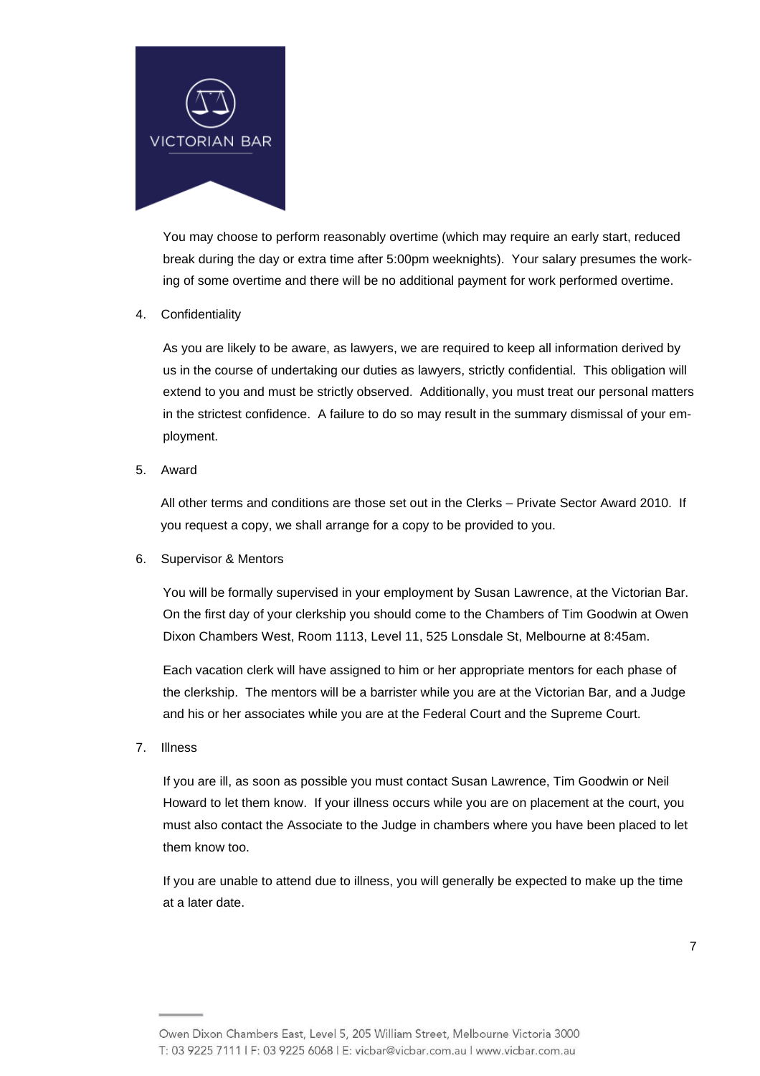

You may choose to perform reasonably overtime (which may require an early start, reduced break during the day or extra time after 5:00pm weeknights). Your salary presumes the working of some overtime and there will be no additional payment for work performed overtime.

#### 4. Confidentiality

As you are likely to be aware, as lawyers, we are required to keep all information derived by us in the course of undertaking our duties as lawyers, strictly confidential. This obligation will extend to you and must be strictly observed. Additionally, you must treat our personal matters in the strictest confidence. A failure to do so may result in the summary dismissal of your employment.

5. Award

All other terms and conditions are those set out in the Clerks – Private Sector Award 2010. If you request a copy, we shall arrange for a copy to be provided to you.

6. Supervisor & Mentors

You will be formally supervised in your employment by Susan Lawrence, at the Victorian Bar. On the first day of your clerkship you should come to the Chambers of Tim Goodwin at Owen Dixon Chambers West, Room 1113, Level 11, 525 Lonsdale St, Melbourne at 8:45am.

Each vacation clerk will have assigned to him or her appropriate mentors for each phase of the clerkship. The mentors will be a barrister while you are at the Victorian Bar, and a Judge and his or her associates while you are at the Federal Court and the Supreme Court.

7. Illness

If you are ill, as soon as possible you must contact Susan Lawrence, Tim Goodwin or Neil Howard to let them know. If your illness occurs while you are on placement at the court, you must also contact the Associate to the Judge in chambers where you have been placed to let them know too.

If you are unable to attend due to illness, you will generally be expected to make up the time at a later date.

Owen Dixon Chambers East, Level 5, 205 William Street, Melbourne Victoria 3000 T: 03 9225 7111 | F: 03 9225 6068 | E: vicbar@vicbar.com.au | www.vicbar.com.au